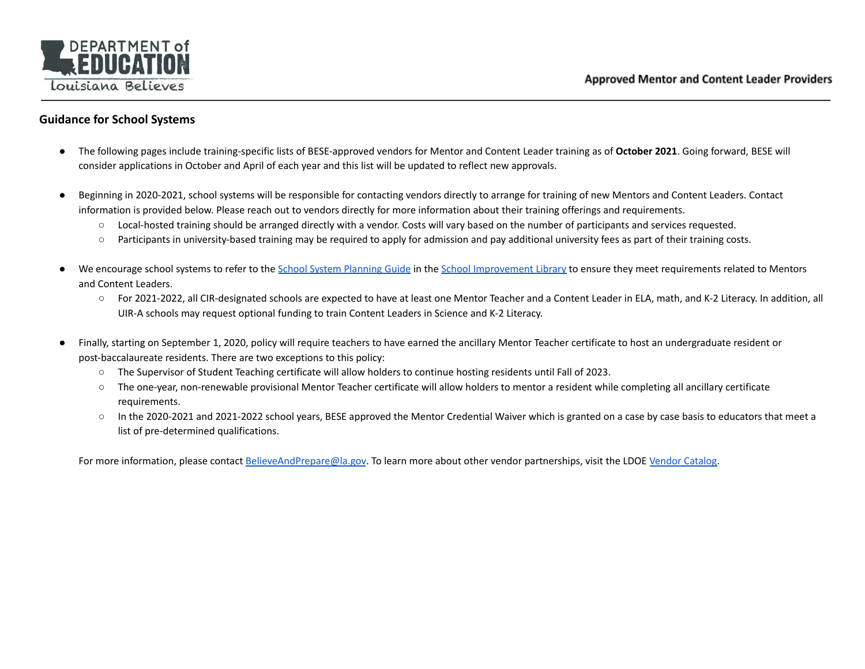

## **Guidance for School Systems**

- The following pages include training-specific lists of BESE-approved vendors for Mentor and Content Leader training as of **October 2021**. Going forward, BESE will consider applications in October and April of each year and this list will be updated to reflect new approvals.
- Beginning in 2020-2021, school systems will be responsible for contacting vendors directly to arrange for training of new Mentors and Content Leaders. Contact information is provided below. Please reach out to vendors directly for more information about their training offerings and requirements.
	- Local-hosted training should be arranged directly with a vendor. Costs will vary based on the number of participants and services requested.
	- Participants in university-based training may be required to apply for admission and pay additional university fees as part of their training costs.
- We encourage school systems to refer to the School System [Planning](https://www.louisianabelieves.com/docs/default-source/district-support/louisianas-school-system-planning-guide.pdf?sfvrsn=a970961f_60) Guide in the School [Improvement](https://www.louisianabelieves.com/resources/library/school-improvement) Library to ensure they meet requirements related to Mentors and Content Leaders.
	- For 2021-2022, all CIR-designated schools are expected to have at least one Mentor Teacher and a Content Leader in ELA, math, and K-2 Literacy. In addition, all UIR-A schools may request optional funding to train Content Leaders in Science and K-2 Literacy.
- Finally, starting on September 1, 2020, policy will require teachers to have earned the ancillary Mentor Teacher certificate to host an undergraduate resident or post-baccalaureate residents. There are two exceptions to this policy:
	- The Supervisor of Student Teaching certificate will allow holders to continue hosting residents until Fall of 2023.
	- The one-year, non-renewable provisional Mentor Teacher certificate will allow holders to mentor a resident while completing all ancillary certificate requirements.
	- In the 2020-2021 and 2021-2022 school years, BESE approved the Mentor Credential Waiver which is granted on a case by case basis to educators that meet a list of pre-determined qualifications.

For more information, please contact [BelieveAndPrepare@la.gov](mailto:BelieveAndPrepare@la.gov). To learn more about other vendor partnerships, visit the LDOE Vendor [Catalog.](https://www.louisianabelieves.com/docs/default-source/links-for-newsletters/vendor-catalog.pdf?sfvrsn=e9469d1f_4)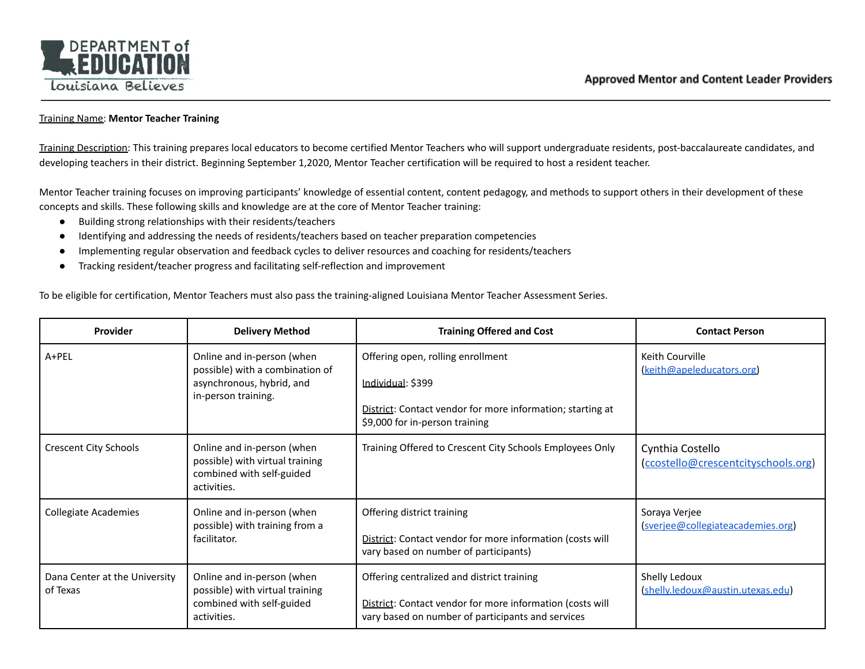

## Training Name: **Mentor Teacher Training**

Training Description: This training prepares local educators to become certified Mentor Teachers who will support undergraduate residents, post-baccalaureate candidates, and developing teachers in their district. Beginning September 1,2020, Mentor Teacher certification will be required to host a resident teacher.

Mentor Teacher training focuses on improving participants' knowledge of essential content, content pedagogy, and methods to support others in their development of these concepts and skills. These following skills and knowledge are at the core of Mentor Teacher training:

- Building strong relationships with their residents/teachers
- Identifying and addressing the needs of residents/teachers based on teacher preparation competencies
- Implementing regular observation and feedback cycles to deliver resources and coaching for residents/teachers
- Tracking resident/teacher progress and facilitating self-reflection and improvement

To be eligible for certification, Mentor Teachers must also pass the training-aligned Louisiana Mentor Teacher Assessment Series.

| Provider                                  | <b>Delivery Method</b>                                                                                            | <b>Training Offered and Cost</b>                                                                                                                                | <b>Contact Person</b>                                   |
|-------------------------------------------|-------------------------------------------------------------------------------------------------------------------|-----------------------------------------------------------------------------------------------------------------------------------------------------------------|---------------------------------------------------------|
| A+PEL                                     | Online and in-person (when<br>possible) with a combination of<br>asynchronous, hybrid, and<br>in-person training. | Offering open, rolling enrollment<br><u> Individual</u> : \$399<br>District: Contact vendor for more information; starting at<br>\$9,000 for in-person training | Keith Courville<br>(keith@apeleducators.org)            |
| <b>Crescent City Schools</b>              | Online and in-person (when<br>possible) with virtual training<br>combined with self-guided<br>activities.         | Training Offered to Crescent City Schools Employees Only                                                                                                        | Cynthia Costello<br>(ccostello@crescentcityschools.org) |
| <b>Collegiate Academies</b>               | Online and in-person (when<br>possible) with training from a<br>facilitator.                                      | Offering district training<br>District: Contact vendor for more information (costs will<br>vary based on number of participants)                                | Soraya Verjee<br>(sverjee@collegiateacademies.org)      |
| Dana Center at the University<br>of Texas | Online and in-person (when<br>possible) with virtual training<br>combined with self-guided<br>activities.         | Offering centralized and district training<br>District: Contact vendor for more information (costs will<br>vary based on number of participants and services    | Shelly Ledoux<br>(shelly.ledoux@austin.utexas.edu)      |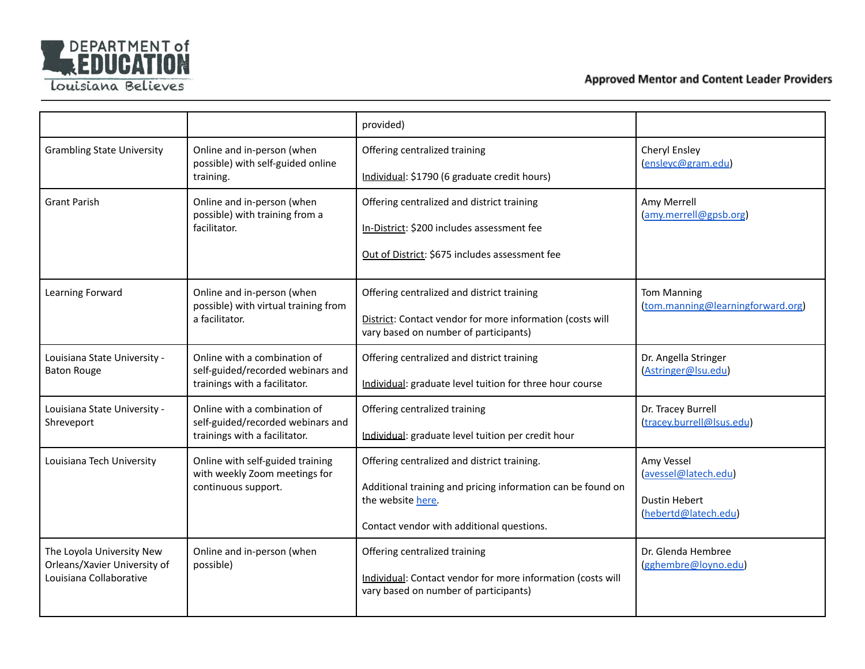

Louisiana Believes

|                                                           |                                                                    | provided)                                                                                            |                                                         |  |
|-----------------------------------------------------------|--------------------------------------------------------------------|------------------------------------------------------------------------------------------------------|---------------------------------------------------------|--|
| <b>Grambling State University</b>                         | Online and in-person (when<br>possible) with self-guided online    | Offering centralized training                                                                        | Cheryl Ensley<br>(enslevc@gram.edu)                     |  |
|                                                           | training.                                                          | Individual: \$1790 (6 graduate credit hours)                                                         |                                                         |  |
| <b>Grant Parish</b>                                       | Online and in-person (when<br>possible) with training from a       | Offering centralized and district training                                                           | Amy Merrell<br>(amy.merrell@gpsb.org)                   |  |
|                                                           | facilitator.                                                       | In-District: \$200 includes assessment fee                                                           |                                                         |  |
|                                                           |                                                                    | Out of District: \$675 includes assessment fee                                                       |                                                         |  |
| Learning Forward                                          | Online and in-person (when<br>possible) with virtual training from | Offering centralized and district training                                                           | <b>Tom Manning</b><br>(tom.manning@learningforward.org) |  |
|                                                           | a facilitator.                                                     | District: Contact vendor for more information (costs will<br>vary based on number of participants)   |                                                         |  |
| Louisiana State University -<br><b>Baton Rouge</b>        | Online with a combination of<br>self-guided/recorded webinars and  | Offering centralized and district training                                                           | Dr. Angella Stringer<br>(Astringer@Isu.edu)             |  |
|                                                           | trainings with a facilitator.                                      | Individual: graduate level tuition for three hour course                                             |                                                         |  |
| Louisiana State University -<br>Shreveport                | Online with a combination of<br>self-guided/recorded webinars and  | Offering centralized training                                                                        | Dr. Tracey Burrell<br>(tracey.burrell@lsus.edu)         |  |
|                                                           | trainings with a facilitator.                                      | Individual: graduate level tuition per credit hour                                                   |                                                         |  |
| Louisiana Tech University                                 | Online with self-guided training<br>with weekly Zoom meetings for  | Offering centralized and district training.                                                          | Amy Vessel<br>(avessel@latech.edu)                      |  |
|                                                           | continuous support.                                                | Additional training and pricing information can be found on<br>the website here.                     | <b>Dustin Hebert</b>                                    |  |
|                                                           |                                                                    |                                                                                                      | (hebertd@latech.edu)                                    |  |
|                                                           |                                                                    | Contact vendor with additional questions.                                                            |                                                         |  |
| The Loyola University New<br>Orleans/Xavier University of | Online and in-person (when<br>possible)                            | Offering centralized training                                                                        | Dr. Glenda Hembree<br>(gghembre@loyno.edu)              |  |
| Louisiana Collaborative                                   |                                                                    | Individual: Contact vendor for more information (costs will<br>vary based on number of participants) |                                                         |  |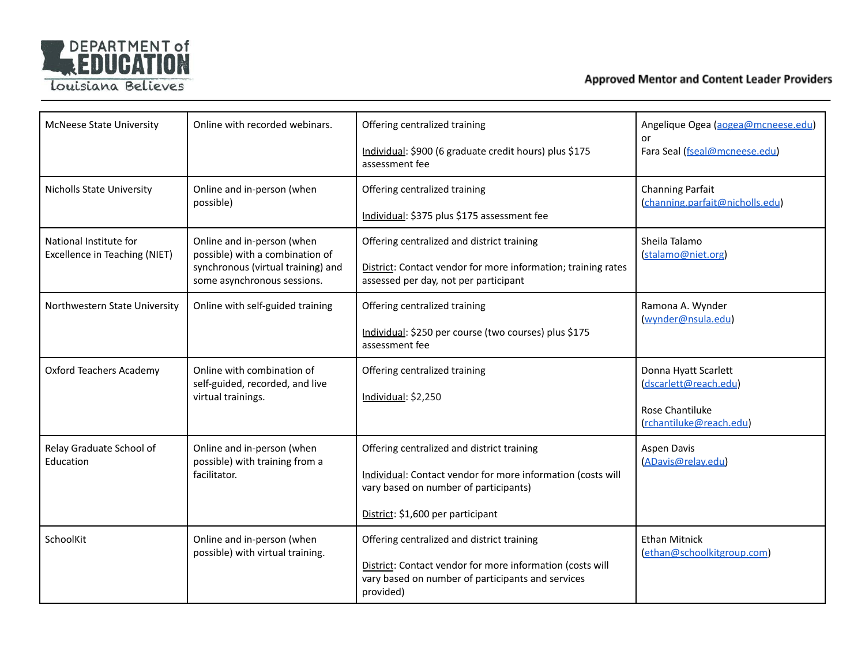

Louisiana Believes

| <b>McNeese State University</b>                         | Online with recorded webinars.                                                                                                     | Offering centralized training<br>Individual: \$900 (6 graduate credit hours) plus \$175<br>assessment fee                                                                               | Angelique Ogea (aogea@mcneese.edu)<br><b>or</b><br>Fara Seal (fseal@mcneese.edu)            |
|---------------------------------------------------------|------------------------------------------------------------------------------------------------------------------------------------|-----------------------------------------------------------------------------------------------------------------------------------------------------------------------------------------|---------------------------------------------------------------------------------------------|
| <b>Nicholls State University</b>                        | Online and in-person (when<br>possible)                                                                                            | Offering centralized training<br>Individual: \$375 plus \$175 assessment fee                                                                                                            | <b>Channing Parfait</b><br>(channing.parfait@nicholls.edu)                                  |
| National Institute for<br>Excellence in Teaching (NIET) | Online and in-person (when<br>possible) with a combination of<br>synchronous (virtual training) and<br>some asynchronous sessions. | Offering centralized and district training<br>District: Contact vendor for more information; training rates<br>assessed per day, not per participant                                    | Sheila Talamo<br>(stalamo@niet.org)                                                         |
| Northwestern State University                           | Online with self-guided training                                                                                                   | Offering centralized training<br>Individual: \$250 per course (two courses) plus \$175<br>assessment fee                                                                                | Ramona A. Wynder<br>(wynder@nsula.edu)                                                      |
| <b>Oxford Teachers Academy</b>                          | Online with combination of<br>self-guided, recorded, and live<br>virtual trainings.                                                | Offering centralized training<br>Individual: \$2,250                                                                                                                                    | Donna Hyatt Scarlett<br>(dscarlett@reach.edu)<br>Rose Chantiluke<br>(rchantiluke@reach.edu) |
| Relay Graduate School of<br>Education                   | Online and in-person (when<br>possible) with training from a<br>facilitator.                                                       | Offering centralized and district training<br>Individual: Contact vendor for more information (costs will<br>vary based on number of participants)<br>District: \$1,600 per participant | Aspen Davis<br>(ADavis@relay.edu)                                                           |
| SchoolKit                                               | Online and in-person (when<br>possible) with virtual training.                                                                     | Offering centralized and district training<br>District: Contact vendor for more information (costs will<br>vary based on number of participants and services<br>provided)               | <b>Ethan Mitnick</b><br>(ethan@schoolkitgroup.com)                                          |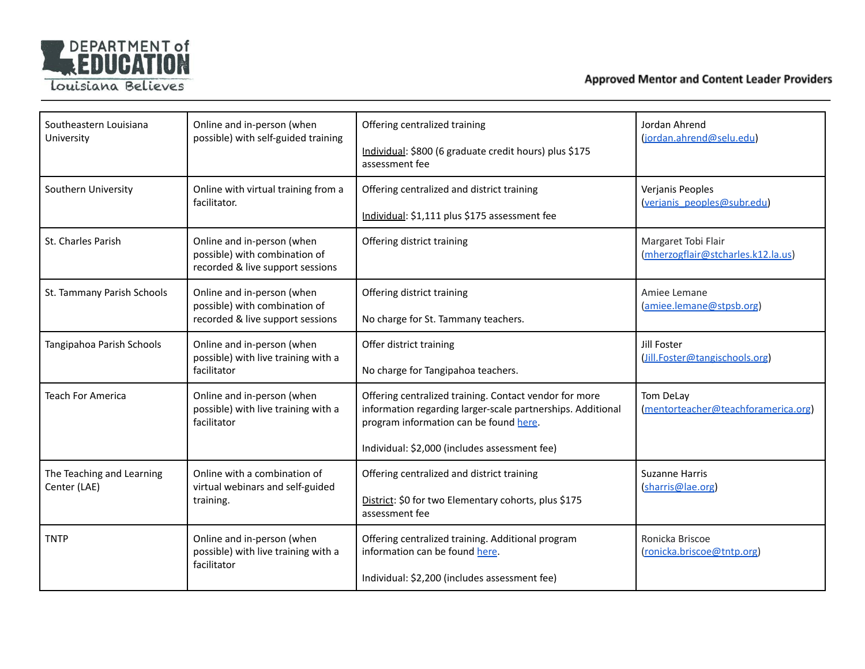

| Southeastern Louisiana<br>University      | Online and in-person (when<br>possible) with self-guided training                               | Offering centralized training<br>Individual: \$800 (6 graduate credit hours) plus \$175<br>assessment fee                                                                                                        | Jordan Ahrend<br>(jordan.ahrend@selu.edu)                 |
|-------------------------------------------|-------------------------------------------------------------------------------------------------|------------------------------------------------------------------------------------------------------------------------------------------------------------------------------------------------------------------|-----------------------------------------------------------|
| Southern University                       | Online with virtual training from a<br>facilitator.                                             | Offering centralized and district training<br>Individual: \$1,111 plus \$175 assessment fee                                                                                                                      | Verjanis Peoples<br>(verjanis peoples@subr.edu)           |
| St. Charles Parish                        | Online and in-person (when<br>possible) with combination of<br>recorded & live support sessions | Offering district training                                                                                                                                                                                       | Margaret Tobi Flair<br>(mherzogflair@stcharles.k12.la.us) |
| St. Tammany Parish Schools                | Online and in-person (when<br>possible) with combination of<br>recorded & live support sessions | Offering district training<br>No charge for St. Tammany teachers.                                                                                                                                                | Amiee Lemane<br>(amiee.lemane@stpsb.org)                  |
| Tangipahoa Parish Schools                 | Online and in-person (when<br>possible) with live training with a<br>facilitator                | Offer district training<br>No charge for Tangipahoa teachers.                                                                                                                                                    | Jill Foster<br>(Jill.Foster@tangischools.org)             |
| <b>Teach For America</b>                  | Online and in-person (when<br>possible) with live training with a<br>facilitator                | Offering centralized training. Contact vendor for more<br>information regarding larger-scale partnerships. Additional<br>program information can be found here.<br>Individual: \$2,000 (includes assessment fee) | Tom DeLay<br>(mentorteacher@teachforamerica.org)          |
| The Teaching and Learning<br>Center (LAE) | Online with a combination of<br>virtual webinars and self-guided<br>training.                   | Offering centralized and district training<br>District: \$0 for two Elementary cohorts, plus \$175<br>assessment fee                                                                                             | Suzanne Harris<br>(sharris@lae.org)                       |
| <b>TNTP</b>                               | Online and in-person (when<br>possible) with live training with a<br>facilitator                | Offering centralized training. Additional program<br>information can be found here.<br>Individual: \$2,200 (includes assessment fee)                                                                             | Ronicka Briscoe<br>(ronicka.briscoe@tntp.org)             |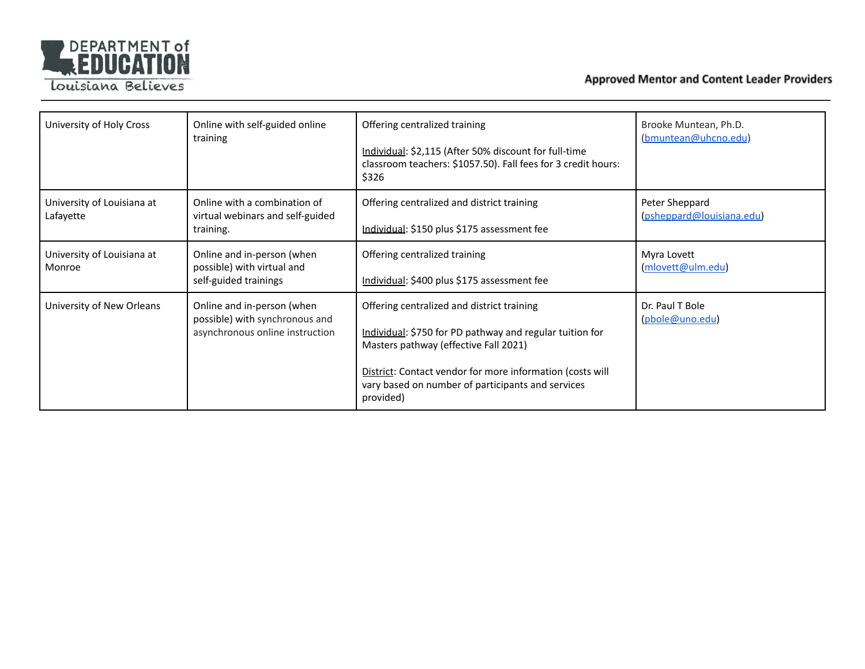

Louisiana Believes

| University of Holy Cross                | Online with self-guided online<br>training                                                      | Offering centralized training<br>Individual: \$2,115 (After 50% discount for full-time<br>classroom teachers: \$1057.50). Fall fees for 3 credit hours:<br>\$326                                                                                                               | Brooke Muntean, Ph.D.<br>(bmuntean@uhcno.edu) |
|-----------------------------------------|-------------------------------------------------------------------------------------------------|--------------------------------------------------------------------------------------------------------------------------------------------------------------------------------------------------------------------------------------------------------------------------------|-----------------------------------------------|
| University of Louisiana at<br>Lafayette | Online with a combination of<br>virtual webinars and self-guided<br>training.                   | Offering centralized and district training<br>Individual: \$150 plus \$175 assessment fee                                                                                                                                                                                      | Peter Sheppard<br>(psheppard@louisiana.edu)   |
| University of Louisiana at<br>Monroe    | Online and in-person (when<br>possible) with virtual and<br>self-guided trainings               | Offering centralized training<br>Individual: \$400 plus \$175 assessment fee                                                                                                                                                                                                   | Myra Lovett<br>(mlovett@ulm.edu)              |
| University of New Orleans               | Online and in-person (when<br>possible) with synchronous and<br>asynchronous online instruction | Offering centralized and district training<br>Individual: \$750 for PD pathway and regular tuition for<br>Masters pathway (effective Fall 2021)<br>District: Contact vendor for more information (costs will<br>vary based on number of participants and services<br>provided) | Dr. Paul T Bole<br>(pbole@uno.edu)            |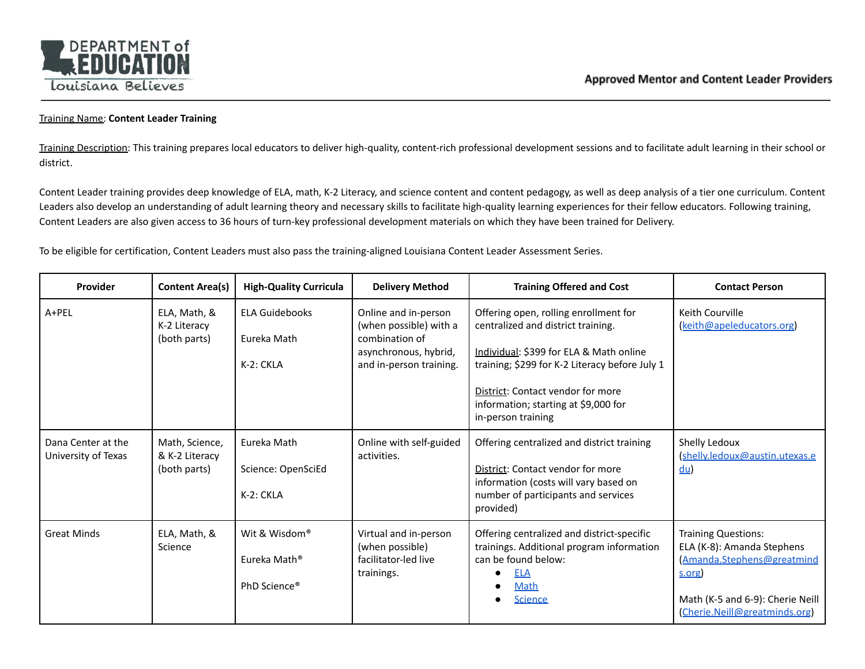

## Training Name: **Content Leader Training**

Training Description: This training prepares local educators to deliver high-quality, content-rich professional development sessions and to facilitate adult learning in their school or district.

Content Leader training provides deep knowledge of ELA, math, K-2 Literacy, and science content and content pedagogy, as well as deep analysis of a tier one curriculum. Content Leaders also develop an understanding of adult learning theory and necessary skills to facilitate high-quality learning experiences for their fellow educators. Following training, Content Leaders are also given access to 36 hours of turn-key professional development materials on which they have been trained for Delivery.

To be eligible for certification, Content Leaders must also pass the training-aligned Louisiana Content Leader Assessment Series.

| <b>Provider</b>                           | <b>Content Area(s)</b>                           | <b>High-Quality Curricula</b>                                         | <b>Delivery Method</b>                                                                                               | <b>Training Offered and Cost</b>                                                                                                                                                                                                                                            | <b>Contact Person</b>                                                                                                                                                |
|-------------------------------------------|--------------------------------------------------|-----------------------------------------------------------------------|----------------------------------------------------------------------------------------------------------------------|-----------------------------------------------------------------------------------------------------------------------------------------------------------------------------------------------------------------------------------------------------------------------------|----------------------------------------------------------------------------------------------------------------------------------------------------------------------|
| A+PEL                                     | ELA, Math, &<br>K-2 Literacy<br>(both parts)     | <b>ELA Guidebooks</b><br>Eureka Math<br>K-2: CKLA                     | Online and in-person<br>(when possible) with a<br>combination of<br>asynchronous, hybrid,<br>and in-person training. | Offering open, rolling enrollment for<br>centralized and district training.<br>Individual: \$399 for ELA & Math online<br>training; \$299 for K-2 Literacy before July 1<br>District: Contact vendor for more<br>information; starting at \$9,000 for<br>in-person training | Keith Courville<br>(keith@apeleducators.org)                                                                                                                         |
| Dana Center at the<br>University of Texas | Math, Science,<br>& K-2 Literacy<br>(both parts) | Eureka Math<br>Science: OpenSciEd<br>K-2: CKLA                        | Online with self-guided<br>activities.                                                                               | Offering centralized and district training<br>District: Contact vendor for more<br>information (costs will vary based on<br>number of participants and services<br>provided)                                                                                                | Shelly Ledoux<br>(shelly.ledoux@austin.utexas.e<br>$du$                                                                                                              |
| <b>Great Minds</b>                        | ELA, Math, &<br>Science                          | Wit & Wisdom®<br>Eureka Math <sup>®</sup><br>PhD Science <sup>®</sup> | Virtual and in-person<br>(when possible)<br>facilitator-led live<br>trainings.                                       | Offering centralized and district-specific<br>trainings. Additional program information<br>can be found below:<br>ELA<br>Math<br><b>Science</b>                                                                                                                             | <b>Training Questions:</b><br>ELA (K-8): Amanda Stephens<br>(Amanda.Stephens@greatmind<br>s.org<br>Math (K-5 and 6-9): Cherie Neill<br>(Cherie.Neill@greatminds.org) |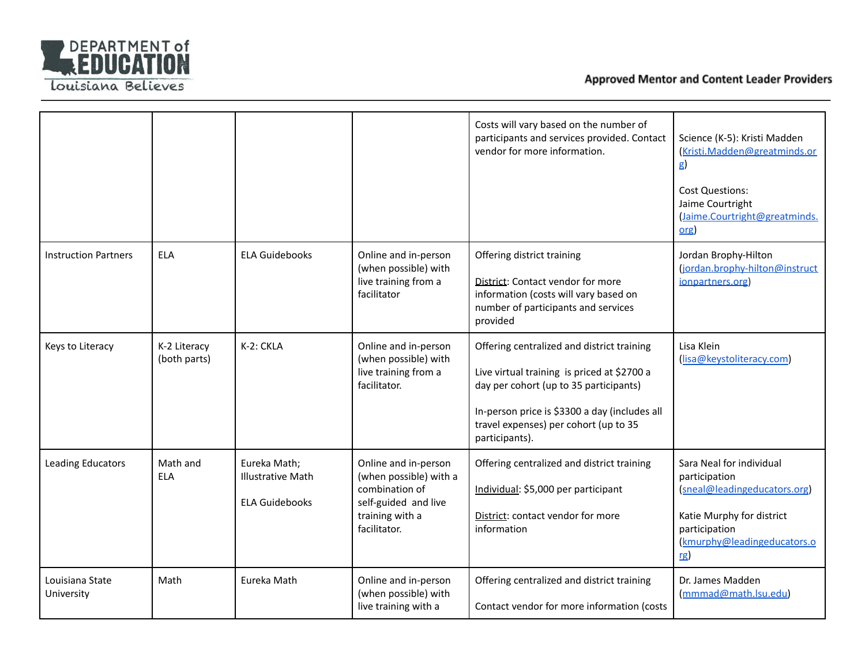

|                               |                              |                                                                   |                                                                                                                             | Costs will vary based on the number of<br>participants and services provided. Contact<br>vendor for more information.                                                                                                                           | Science (K-5): Kristi Madden<br>Kristi.Madden@greatminds.or<br>g)<br><b>Cost Questions:</b><br>Jaime Courtright<br>(Jaime.Courtright@greatminds.<br>$org$     |
|-------------------------------|------------------------------|-------------------------------------------------------------------|-----------------------------------------------------------------------------------------------------------------------------|-------------------------------------------------------------------------------------------------------------------------------------------------------------------------------------------------------------------------------------------------|---------------------------------------------------------------------------------------------------------------------------------------------------------------|
| <b>Instruction Partners</b>   | <b>ELA</b>                   | <b>ELA Guidebooks</b>                                             | Online and in-person<br>(when possible) with<br>live training from a<br>facilitator                                         | Offering district training<br>District: Contact vendor for more<br>information (costs will vary based on<br>number of participants and services<br>provided                                                                                     | Jordan Brophy-Hilton<br>(jordan.brophy-hilton@instruct<br>ionpartners.org)                                                                                    |
| Keys to Literacy              | K-2 Literacy<br>(both parts) | K-2: CKLA                                                         | Online and in-person<br>(when possible) with<br>live training from a<br>facilitator.                                        | Offering centralized and district training<br>Live virtual training is priced at \$2700 a<br>day per cohort (up to 35 participants)<br>In-person price is \$3300 a day (includes all<br>travel expenses) per cohort (up to 35<br>participants). | Lisa Klein<br>(lisa@keystoliteracy.com)                                                                                                                       |
| <b>Leading Educators</b>      | Math and<br><b>ELA</b>       | Eureka Math;<br><b>Illustrative Math</b><br><b>ELA Guidebooks</b> | Online and in-person<br>(when possible) with a<br>combination of<br>self-guided and live<br>training with a<br>facilitator. | Offering centralized and district training<br>Individual: \$5,000 per participant<br>District: contact vendor for more<br>information                                                                                                           | Sara Neal for individual<br>participation<br>(sneal@leadingeducators.org)<br>Katie Murphy for district<br>participation<br>(kmurphy@leadingeducators.o<br>rg) |
| Louisiana State<br>University | Math                         | Eureka Math                                                       | Online and in-person<br>(when possible) with<br>live training with a                                                        | Offering centralized and district training<br>Contact vendor for more information (costs                                                                                                                                                        | Dr. James Madden<br>(mmmad@math.lsu.edu)                                                                                                                      |